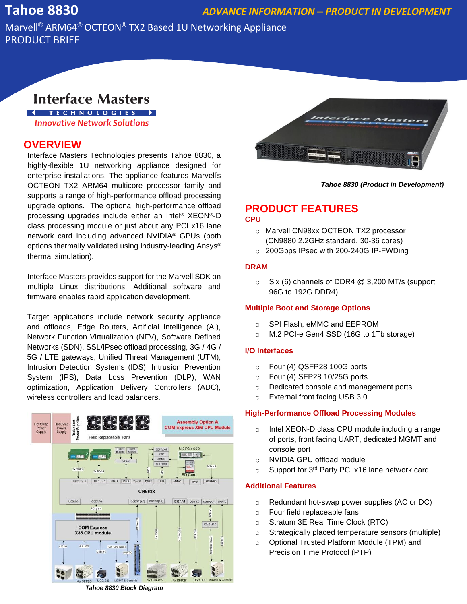## **Tahoe 8830** *ADVANCE INFORMATION – PRODUCT IN DEVELOPMENT*

Marvell® ARM64® OCTEON® TX2 Based 1U Networking Appliance PRODUCT BRIEF

# **Interface Masters**

**I** TECHNOLOGIES > **Innovative Network Solutions** 

### **OVERVIEW**

Interface Masters Technologies presents Tahoe 8830, a highly-flexible 1U networking appliance designed for enterprise installations. The appliance features Marvell's OCTEON TX2 ARM64 multicore processor family and supports a range of high-performance offload processing upgrade options. The optional high-performance offload processing upgrades include either an Intel® XEON®-D class processing module or just about any PCI x16 lane network card including advanced NVIDIA® GPUs (both options thermally validated using industry-leading Ansys® thermal simulation).

Interface Masters provides support for the Marvell SDK on multiple Linux distributions. Additional software and firmware enables rapid application development.

Target applications include network security appliance and offloads, Edge Routers, Artificial Intelligence (AI), Network Function Virtualization (NFV), Software Defined Networks (SDN), SSL/IPsec offload processing, 3G / 4G / 5G / LTE gateways, Unified Threat Management (UTM), Intrusion Detection Systems (IDS), Intrusion Prevention System (IPS), Data Loss Prevention (DLP), WAN optimization, Application Delivery Controllers (ADC), wireless controllers and load balancers.



*Tahoe 8830 (Product in Development)*

### **PRODUCT FEATURES CPU**

- o Marvell CN98xx OCTEON TX2 processor (CN9880 2.2GHz standard, 30-36 cores)
- o 200Gbps IPsec with 200-240G IP-FWDing

#### **DRAM**

o Six (6) channels of DDR4 @ 3,200 MT/s (support 96G to 192G DDR4)

#### **Multiple Boot and Storage Options**

- o SPI Flash, eMMC and EEPROM
- o M.2 PCI-e Gen4 SSD (16G to 1Tb storage)

#### **I/O Interfaces**

- o Four (4) QSFP28 100G ports
- o Four (4) SFP28 10/25G ports
- o Dedicated console and management ports
- o External front facing USB 3.0

#### **High-Performance Offload Processing Modules**

- o Intel XEON-D class CPU module including a range of ports, front facing UART, dedicated MGMT and console port
- o NVIDIA GPU offload module
- o Support for 3<sup>rd</sup> Party PCI x16 lane network card

#### **Additional Features**

- o Redundant hot-swap power supplies (AC or DC)
- o Four field replaceable fans
- o Stratum 3E Real Time Clock (RTC)
- o Strategically placed temperature sensors (multiple)
- o Optional Trusted Platform Module (TPM) and Precision Time Protocol (PTP)

*Tahoe 8830 Block Diagram*